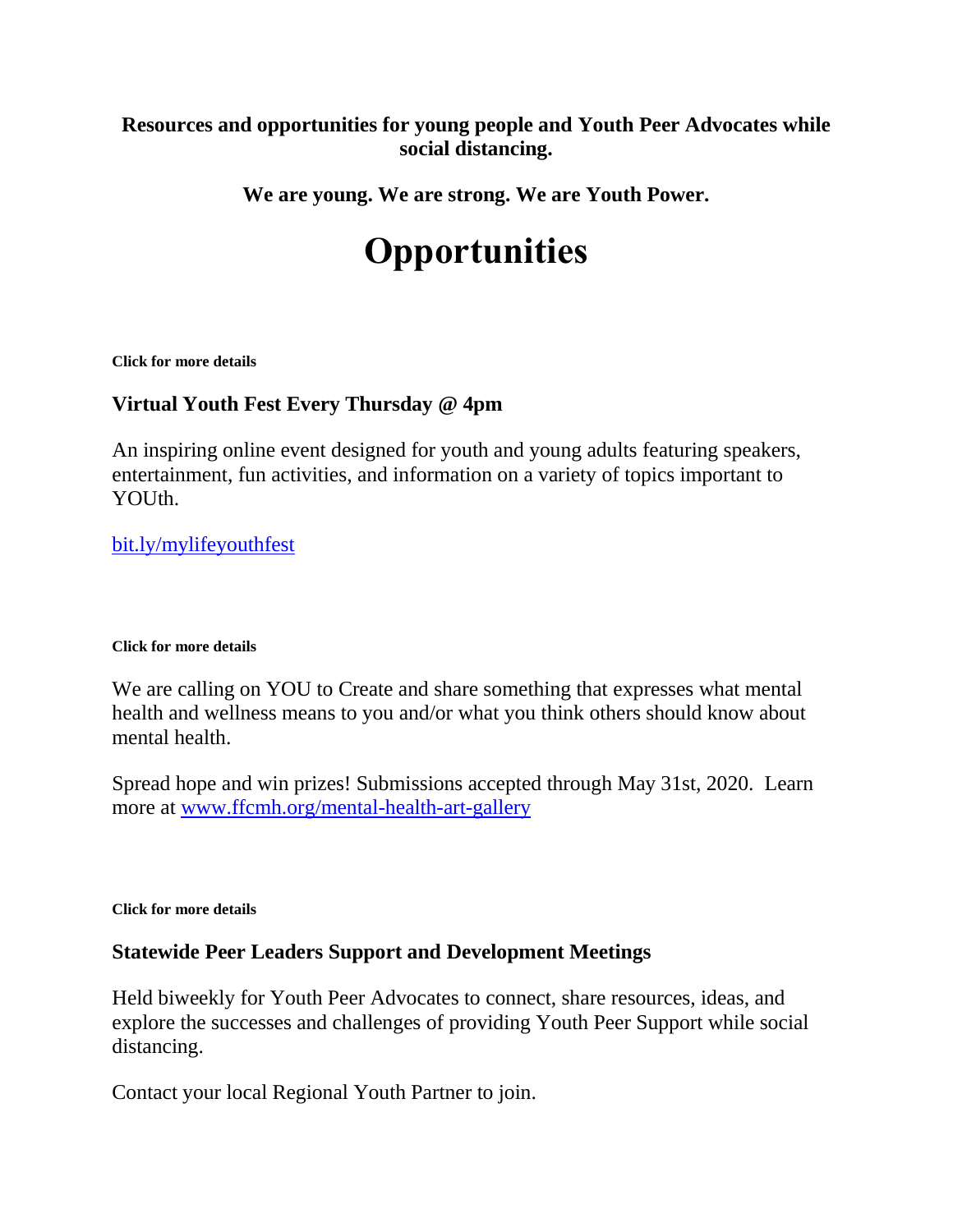### **Resources and opportunities for young people and Youth Peer Advocates while social distancing.**

**We are young. We are strong. We are Youth Power.**

# **Opportunities**

**Click for more details**

### **Virtual Youth Fest Every Thursday @ 4pm**

An inspiring online event designed for youth and young adults featuring speakers, entertainment, fun activities, and information on a variety of topics important to YOUth.

[bit.ly/mylifeyouthfest](https://youthpower.ftnys.org/socialdistancing/bit.ly/mylifeyouthfest)

### **Click for more details**

We are calling on YOU to Create and share something that expresses what mental health and wellness means to you and/or what you think others should know about mental health.

Spread hope and win prizes! Submissions accepted through May 31st, 2020. Learn more at [www.ffcmh.org/mental-health-art-gallery](https://youthpower.ftnys.org/socialdistancing/www.ffcmh.org/mental-health-art-gallery)

**Click for more details**

### **Statewide Peer Leaders Support and Development Meetings**

Held biweekly for Youth Peer Advocates to connect, share resources, ideas, and explore the successes and challenges of providing Youth Peer Support while social distancing.

Contact your local Regional Youth Partner to join.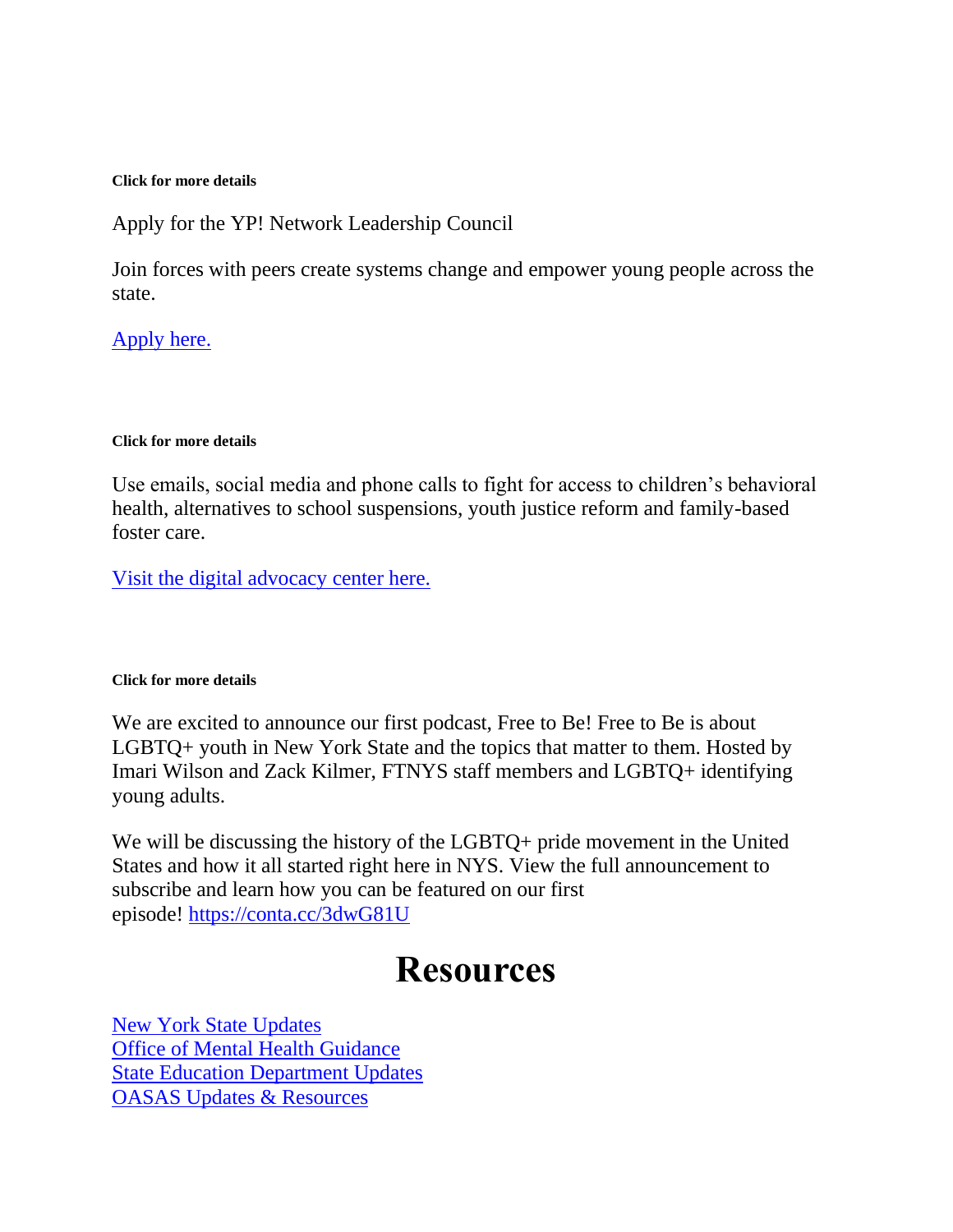#### **Click for more details**

Apply for the YP! Network Leadership Council

Join forces with peers create systems change and empower young people across the state.

### [Apply here.](https://youthpower.ftnys.org/socialdistancing/youthpower.ftnys.org/ypcouncil)

#### **Click for more details**

Use emails, social media and phone calls to fight for access to children's behavioral health, alternatives to school suspensions, youth justice reform and family-based foster care.

[Visit the digital advocacy center here.](https://www.ftnys.org/digital-advocacy-center/)

### **Click for more details**

We are excited to announce our first podcast, Free to Be! Free to Be is about LGBTQ+ youth in New York State and the topics that matter to them. Hosted by Imari Wilson and Zack Kilmer, FTNYS staff members and LGBTQ+ identifying young adults.

We will be discussing the history of the LGBTQ+ pride movement in the United States and how it all started right here in NYS. View the full announcement to subscribe and learn how you can be featured on our first episode! [https://conta.cc/3dwG81U](https://l.facebook.com/l.php?u=https%3A%2F%2Fconta.cc%2F3dwG81U%3Ffbclid%3DIwAR19EMKtluduYbuIo2-eTBQPZU7zRkP43V5bKbSfhp58CGoC64J2_s0vI-Q&h=AT2_2JG_2JmKsEaO1_aiHmhxyzLVAmuaxEqWmF_KeyBgjBstWOvGDaXqlNgRc7Gi6tVV8O_iH-97n1OZsVYm3R9HtFmDtRq-i0fAgqnfh0ZEzeEh2x8BKKAqhCvukJnrtHZYBd2M45-ELEMd1itQc2PcudwGwYmU2vxfZPWfRW0165iu6dlt48R6XjJUs7cFcFbXTAZPOShVJOhSH564IGu08V8UVR86Y3xhNWii-HFuto2pOO08660ukzYp8Mi3lsSz0YIVIskIFPUt2iDAqwygvMDZUESpYw3r0F755-YXS5Ezge57vuzaSbDzUmwybxVfz3Z38nbFyznR4LjyAclS1KeiEtnJFx3fGpUVtPoDBgFkzc1BxzusEyoyPGQB9Hz7aL1EHQYmtdMsSSUnKXG5I4pGTjeSIbYkD7OgG5AYDKsTBr_sN5duoRct2pVGZmT6Ip1Tj898ADezTYlasguwud6gNqnqRwUtQ8iHFClQxelanf06U0_jpQi9G2kqW-FJFYJtXYQMo6_-KXgkVm-4N4rvURWYznP-4YgRWkSC4nMTiaeQog3PWNIEAy1zK_v1cgYl4FAkmJagi6iwte9IFrHlNXyCg4obF1m7sI3DjFQXC5DBUzeK)

## **Resources**

[New York State Updates](https://coronavirus.health.ny.gov/home) [Office of Mental Health Guidance](https://omh.ny.gov/omhweb/guidance/) [State Education Department Updates](http://www.nysed.gov/coronavirus) [OASAS Updates & Resources](https://oasas.ny.gov/covid19)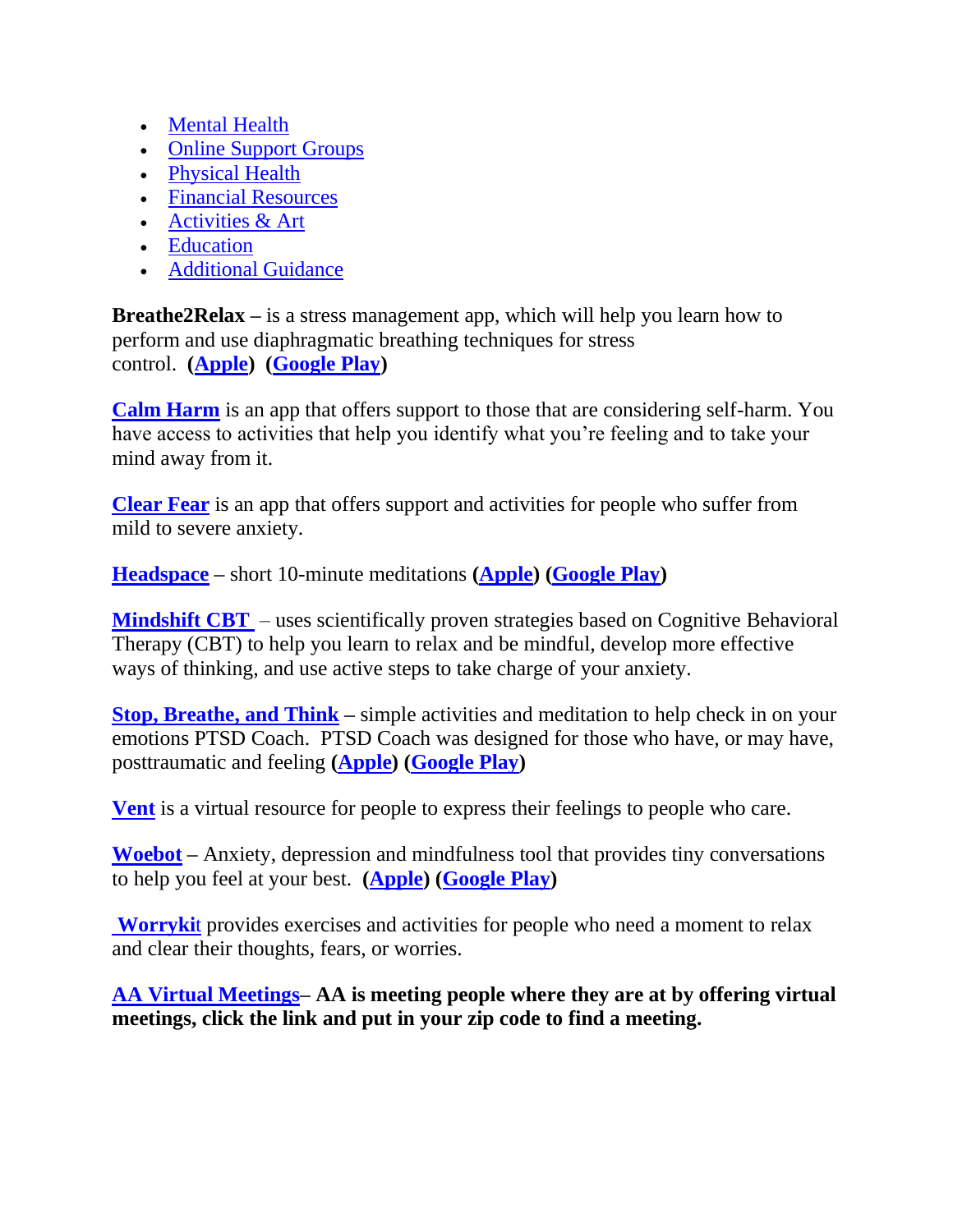- [Mental Health](https://youthpower.ftnys.org/socialdistancing/)
- [Online Support Groups](https://youthpower.ftnys.org/socialdistancing/)
- [Physical Health](https://youthpower.ftnys.org/socialdistancing/)
- [Financial Resources](https://youthpower.ftnys.org/socialdistancing/)
- [Activities & Art](https://youthpower.ftnys.org/socialdistancing/)
- [Education](https://youthpower.ftnys.org/socialdistancing/)
- [Additional Guidance](https://youthpower.ftnys.org/socialdistancing/)

**Breathe2Relax** – is a stress management app, which will help you learn how to perform and use diaphragmatic breathing techniques for stress control. **[\(Apple\)](https://apps.apple.com/us/app/breathe2relax/id425720246) [\(Google Play\)](https://play.google.com/store/apps/details?id=org.t2health.breathe2relax&hl=en_US)**

**[Calm Harm](https://calmharm.co.uk/)** is an app that offers support to those that are considering self-harm. You have access to activities that help you identify what you're feeling and to take your mind away from it.

**[Clear Fear](https://www.clearfear.co.uk/)** is an app that offers support and activities for people who suffer from mild to severe anxiety.

**[Headspace](https://www.headspace.com/headspace-meditation-app) –** short 10-minute meditations **[\(Apple\)](https://apps.apple.com/us/app/headspace-meditation-sleep/id493145008) [\(Google Play\)](https://play.google.com/store/apps/details?id=com.getsomeheadspace.android&hl=en_US)**

**[Mindshift CBT](https://www.anxietycanada.com/resources/mindshift-cbt/)** – uses scientifically proven strategies based on Cognitive Behavioral Therapy (CBT) to help you learn to relax and be mindful, develop more effective ways of thinking, and use active steps to take charge of your anxiety.

**[Stop, Breathe, and Think](https://www.stopbreathethink.com/)** – simple activities and meditation to help check in on your emotions PTSD Coach. PTSD Coach was designed for those who have, or may have, posttraumatic and feeling **[\(Apple\)](https://apps.apple.com/us/app/stop-breathe-think/id778848692) [\(Google Play\)](https://play.google.com/store/apps/details?id=org.stopbreathethink.app&hl=en_US)**

**[Vent](https://www.vent.co/)** is a virtual resource for people to express their feelings to people who care.

**[Woebot](https://woebot.io/) –** Anxiety, depression and mindfulness tool that provides tiny conversations to help you feel at your best. **[\(Apple\)](https://apps.apple.com/us/app/woebot-your-self-care-expert/id1305375832) [\(Google Play\)](https://play.google.com/store/apps/details?id=com.woebot&hl=en_US)**

**[Worryki](https://worrykit.com/)**t provides exercises and activities for people who need a moment to relax and clear their thoughts, fears, or worries.

**[AA Virtual Meetings–](https://aahmbny.org/meetings/?tsml-day=any&tsml-distance=100&tsml-mode=me&tsml-type=ONL) AA is meeting people where they are at by offering virtual meetings, click the link and put in your zip code to find a meeting.**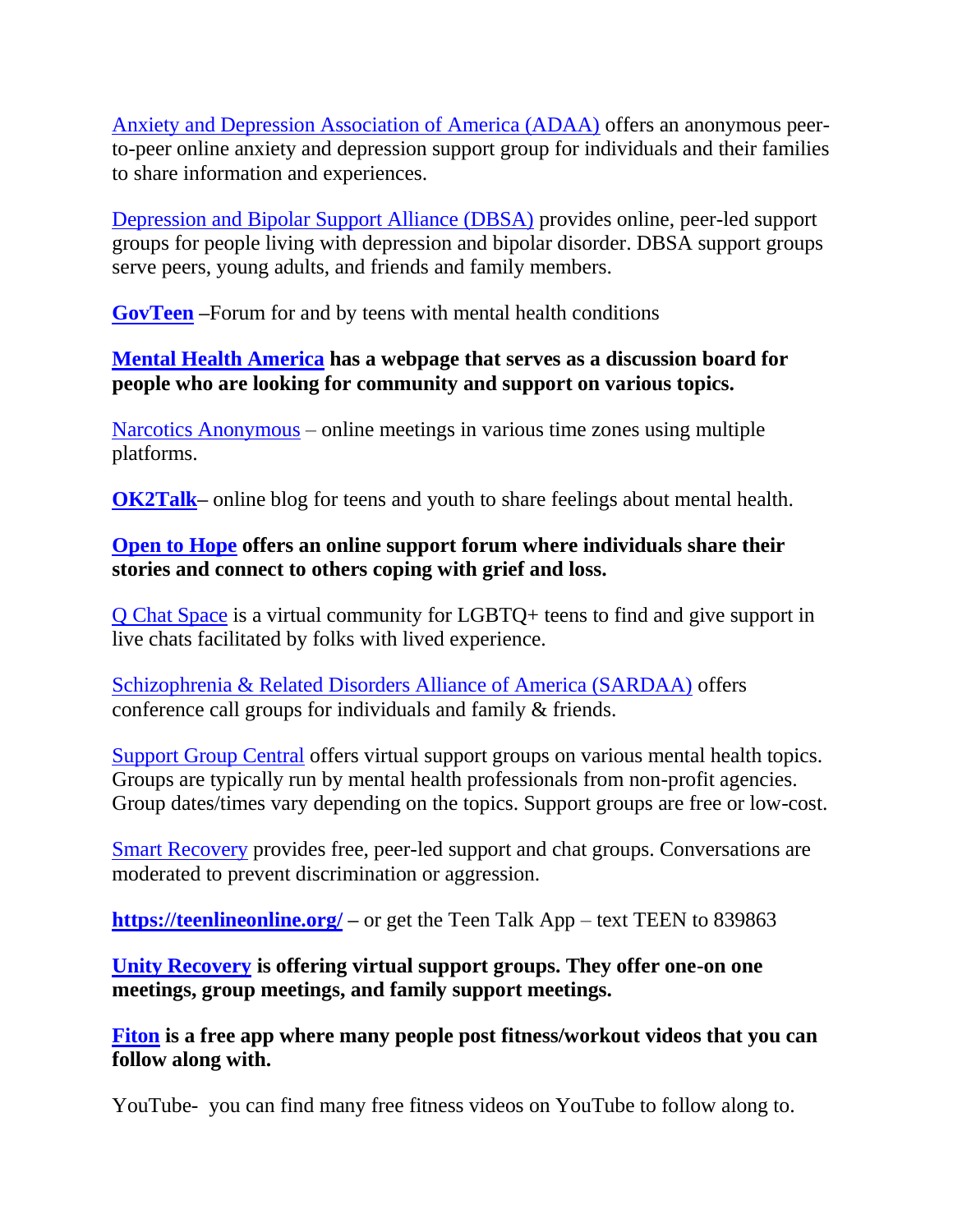[Anxiety and Depression Association of America \(ADAA\)](https://adaa.org/adaa-online-support-group) offers an anonymous peerto-peer online anxiety and depression support group for individuals and their families to share information and experiences.

[Depression and Bipolar Support Alliance \(DBSA\)](https://www.dbsalliance.org/support/chapters-and-support-groups/online-support-groups/) provides online, peer-led support groups for people living with depression and bipolar disorder. DBSA support groups serve peers, young adults, and friends and family members.

**[GovTeen](http://www.govteen.org/) –**Forum for and by teens with mental health conditions

### **[Mental Health America](https://www.inspire.com/groups/mental-health-america/) has a webpage that serves as a discussion board for people who are looking for community and support on various topics.**

[Narcotics Anonymous](https://www.na.org/meetingsearch/text-results.php?country=Web&state&city&zip&street&within=5&day=0&lang&orderby=distance) – online meetings in various time zones using multiple platforms.

**[OK2Talk–](http://www.ok2talk.org/)** online blog for teens and youth to share feelings about mental health.

## **[Open to Hope](https://www.opentohope.com/) offers an online support forum where individuals share their stories and connect to others coping with grief and loss.**

[Q Chat Space](https://www.qchatspace.org/) is a virtual community for LGBTQ+ teens to find and give support in live chats facilitated by folks with lived experience.

[Schizophrenia & Related Disorders Alliance of America \(SARDAA\)](https://sardaa.org/schizophrenia-alliance/sa-group-locations/) offers conference call groups for individuals and family & friends.

[Support Group Central](https://www.supportgroupscentral.com/index.cfm#anc2) offers virtual support groups on various mental health topics. Groups are typically run by mental health professionals from non-profit agencies. Group dates/times vary depending on the topics. Support groups are free or low-cost.

[Smart Recovery](https://www.smartrecovery.org/community/) provides free, peer-led support and chat groups. Conversations are moderated to prevent discrimination or aggression.

**<https://teenlineonline.org/> –** or get the Teen Talk App – text TEEN to 839863

### **[Unity Recovery](https://unityrecovery.org/digital-recovery-meetings) is offering virtual support groups. They offer one-on one meetings, group meetings, and family support meetings.**

**[Fiton](https://fitonapp.com/) is a free app where many people post fitness/workout videos that you can follow along with.**

YouTube- you can find many free fitness videos on YouTube to follow along to.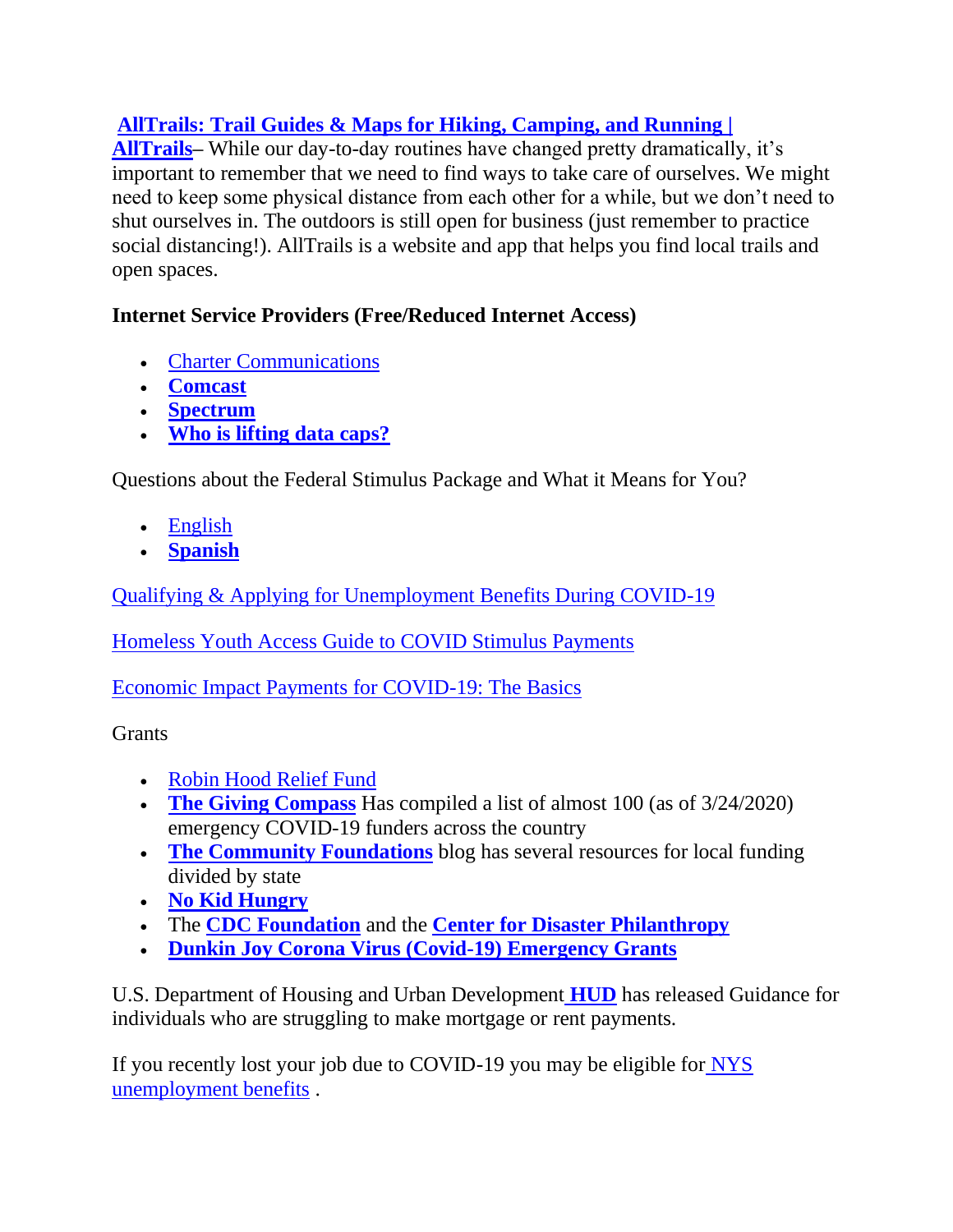## **[AllTrails: Trail Guides & Maps for Hiking, Camping, and Running |](https://www.alltrails.com/)**

**[AllTrails–](https://www.alltrails.com/)** While our day-to-day routines have changed pretty dramatically, it's important to remember that we need to find ways to take care of ourselves. We might need to keep some physical distance from each other for a while, but we don't need to shut ourselves in. The outdoors is still open for business (just remember to practice social distancing!). AllTrails is a website and app that helps you find local trails and open spaces.

## **Internet Service Providers (Free/Reduced Internet Access)**

- [Charter Communications](https://corporate.charter.com/newsroom/charter-to-offer-free-access-to-spectrum-broadband-and-wifi-for-60-days-for-new-K12-and-college-student-households-and-more)
- **[Comcast](https://corporate.comcast.com/covid-19)**
- **[Spectrum](https://www.spectrum.net/support/internet/coronavirus-covid-19-educational-internet-offer)**
- **[Who is lifting data caps?](https://www.pcworld.com/article/3532817/which-internet-providers-are-lifting-data-caps-during-the-coronavirus-and-which-arent.html)**

Questions about the Federal Stimulus Package and What it Means for You?

- [English](https://www.facebook.com/thestayproject/posts/2777385345714827?__tn__=-R)
- **[Spanish](https://www.facebook.com/thestayproject/posts/2781531495300212?__xts__%5B0%5D=68.ARD58tZ5g_Fv1pZmIhhOpxbGia5GMiubkzi7zGrwMU3dB9eMWzpGYHm6qnP8PMByBb4EAFvuPS_Xe8IVzaMraq9qDwc42JP02hCg3S516GliCSSZxqK3-P4O1WxtyhB2rLaRKWJ3_40SN9bpqdPkIot2FAGz9WRLe8cZckn1LdFo-nKO4xGZZFBR3GIptXN9ZWBVf0vspSfeP0l1WYh_aLeuYsbkrhmiRcmik9jh1x_cFefuVzrbvI4fdpQUjLgZHwb4HkksC8d6HKaKYcPKdOrQNfmR-XSag-qtVWHIKJdXtjg1J88iRH-YvcICaIVoaxuiw47scAgGAnLEyQwanpnhyw&__tn__=-R)**

[Qualifying & Applying for Unemployment Benefits During COVID-19](https://nn4youth.org/wp-content/uploads/Tip-Sheet-on-COVID-19-Unemployment-Insurance-NN4Y.pdf)

[Homeless Youth Access Guide to COVID Stimulus Payments](https://nn4youth.org/wp-content/uploads/Fact-Sheet-on-Stimulus-Payments-and-Unaccompanied-Youth.pdf)

[Economic Impact Payments for COVID-19: The Basics](http://c/)

**Grants** 

- [Robin Hood Relief Fund](https://www.robinhood.org/relief-fund-application/?fbclid=IwAR0LmbPYyu8AuhtsOLzej3IhiHrxBUZ9K6m_CbcEc7KOpgMZ7oGM0JBg2RE)
- **[The Giving Compass](https://givingcompass.org/coronavirus-covid19)** Has compiled a list of almost 100 (as of  $3/24/2020$ ) emergency COVID-19 funders across the country
- **[The Community Foundations](https://www.commfoundations.com/blog/2020/3/11/community-foundations-nationwide-launch-efforts-to-help-communities-affected-by-the-coronavirus)** blog has several resources for local funding divided by state
- **[No Kid Hungry](https://www.nokidhungry.org/coronavirus-grant-request)**
- The **[CDC Foundation](https://www.cdcfoundation.org/coronavirus)** and the **[Center for Disaster Philanthropy](https://disasterphilanthropy.org/cdp-fund/cdp-covid-19-response-fund/)**
- **[Dunkin Joy Corona Virus \(Covid-19\) Emergency Grants](https://www.joyinchildhoodfoundation.org/what-we-do/our-work/covid19grants/)**

U.S. Department of Housing and Urban Development **[HUD](https://www.hud.gov/press/press_releases_media_advisories/HUD_No_20_042)** has released Guidance for individuals who are struggling to make mortgage or rent payments.

If you recently lost your job due to COVID-19 you may be eligible for NYS [unemployment benefits](https://labor.ny.gov/unemploymentassistance.shtm) .